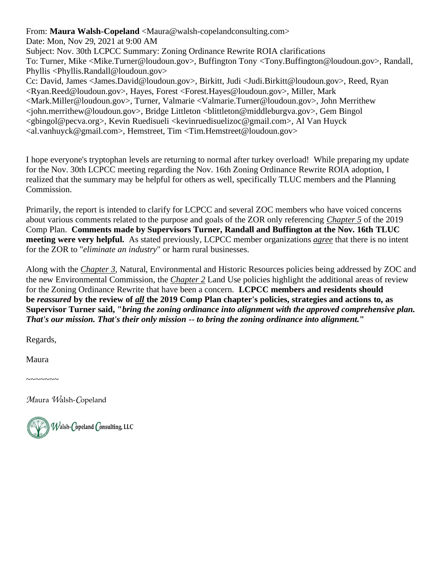From: **Maura Walsh-Copeland** <Maura@walsh-copelandconsulting.com>

Date: Mon, Nov 29, 2021 at 9:00 AM

Subject: Nov. 30th LCPCC Summary: Zoning Ordinance Rewrite ROIA clarifications To: Turner, Mike <Mike.Turner@loudoun.gov>, Buffington Tony <Tony.Buffington@loudoun.gov>, Randall, Phyllis <Phyllis.Randall@loudoun.gov>

Cc: David, James <James.David@loudoun.gov>, Birkitt, Judi <Judi.Birkitt@loudoun.gov>, Reed, Ryan <Ryan.Reed@loudoun.gov>, Hayes, Forest <Forest.Hayes@loudoun.gov>, Miller, Mark <Mark.Miller@loudoun.gov>, Turner, Valmarie <Valmarie.Turner@loudoun.gov>, John Merrithew <john.merrithew@loudoun.gov>, Bridge Littleton <blittleton@middleburgva.gov>, Gem Bingol <gbingol@pecva.org>, Kevin Ruedisueli <kevinruedisuelizoc@gmail.com>, Al Van Huyck <al.vanhuyck@gmail.com>, Hemstreet, Tim <Tim.Hemstreet@loudoun.gov>

I hope everyone's tryptophan levels are returning to normal after turkey overload! While preparing my update for the Nov. 30th LCPCC meeting regarding the Nov. 16th Zoning Ordinance Rewrite ROIA adoption, I realized that the summary may be helpful for others as well, specifically TLUC members and the Planning Commission.

Primarily, the report is intended to clarify for LCPCC and several ZOC members who have voiced concerns about various comments related to the purpose and goals of the ZOR only referencing *Chapter 5* of the 2019 Comp Plan. **Comments made by Supervisors Turner, Randall and Buffington at the Nov. 16th TLUC meeting were very helpful.** As stated previously, LCPCC member organizations *agree* that there is no intent for the ZOR to "*eliminate an industry*" or harm rural businesses.

Along with the *Chapter 3*, Natural, Environmental and Historic Resources policies being addressed by ZOC and the new Environmental Commission, the *Chapter 2* Land Use policies highlight the additional areas of review for the Zoning Ordinance Rewrite that have been a concern. **LCPCC members and residents should be** *reassured* **by the review of** *all* **the 2019 Comp Plan chapter's policies, strategies and actions to, as Supervisor Turner said, "***bring the zoning ordinance into alignment with the approved comprehensive plan. That's our mission. That's their only mission -- to bring the zoning ordinance into alignment.***"**

Regards,

Maura

 $\sim$ ~~~~~

*M*aura *W*alsh-*C*opeland